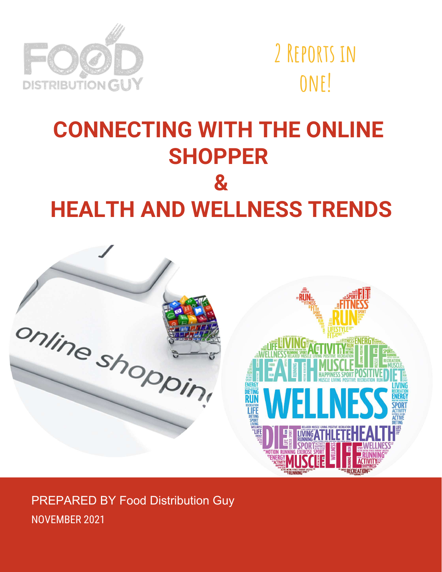

**2 Reports in one!**

## **CONNECTING WITH THE ONLINE SHOPPER & HEALTH AND WELLNESS TRENDS**



PREPARED BY Food Distribution Guy NOVEMBER 2021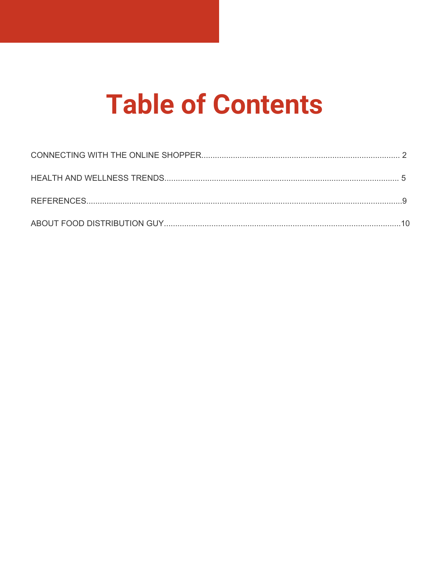# **Table of Contents**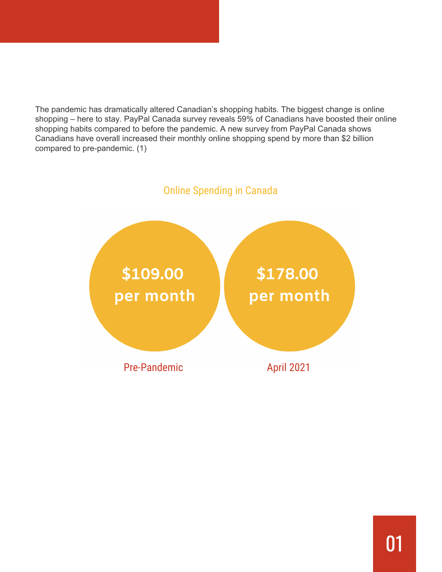The pandemic has dramatically altered Canadian's shopping habits. The biggest change is online shopping – here to stay. PayPal Canada survey reveals 59% of Canadians have boosted their online shopping habits compared to before the pandemic. A new survey from PayPal Canada shows Canadians have overall increased their monthly online shopping spend by more than \$2 billion compared to pre-pandemic. (1)

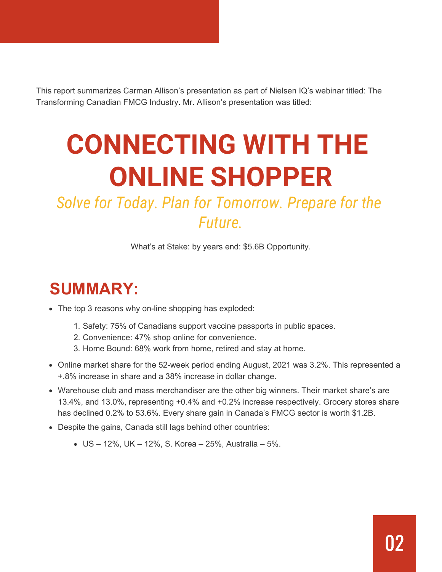This report summarizes Carman Allison's presentation as part of Nielsen IQ's webinar titled: The Transforming Canadian FMCG Industry. Mr. Allison's presentation was titled:

# **CONNECTING WITH THE ONLINE SHOPPER**

## *Solve for Today. Plan for Tomorrow. Prepare for the Future.*

What's at Stake: by years end: \$5.6B Opportunity.

## **SUMMARY:**

- The top 3 reasons why on-line shopping has exploded:
	- 1. Safety: 75% of Canadians support vaccine passports in public spaces.
	- 2. Convenience: 47% shop online for convenience.
	- 3. Home Bound: 68% work from home, retired and stay at home.
- Online market share for the 52-week period ending August, 2021 was 3.2%. This represented a +.8% increase in share and a 38% increase in dollar change.
- Warehouse club and mass merchandiser are the other big winners. Their market share's are 13.4%, and 13.0%, representing +0.4% and +0.2% increase respectively. Grocery stores share has declined 0.2% to 53.6%. Every share gain in Canada's FMCG sector is worth \$1.2B.
- Despite the gains, Canada still lags behind other countries:
	- US 12%, UK 12%, S. Korea 25%, Australia 5%.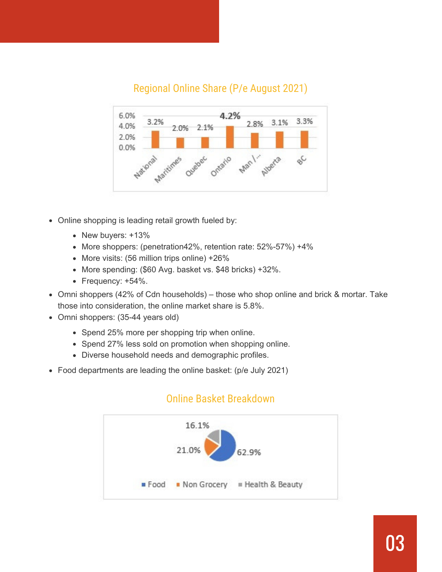### Regional Online Share (P/e August 2021)



- Online shopping is leading retail growth fueled by:
	- New buyers: +13%
	- More shoppers: (penetration42%, retention rate: 52%-57%) +4%
	- More visits: (56 million trips online) +26%
	- More spending: (\$60 Avg. basket vs. \$48 bricks) +32%.
	- Frequency: +54%.
- Omni shoppers (42% of Cdn households) those who shop online and brick & mortar. Take those into consideration, the online market share is 5.8%.
- Omni shoppers: (35-44 years old)
	- Spend 25% more per shopping trip when online.
	- Spend 27% less sold on promotion when shopping online.
	- Diverse household needs and demographic profiles.
- Food departments are leading the online basket: (p/e July 2021)



#### Online Basket Breakdown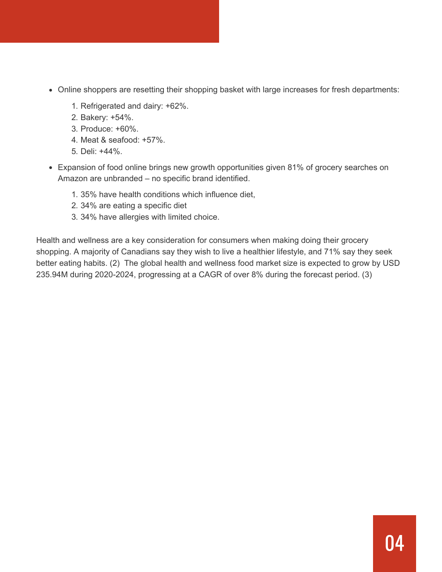- Online shoppers are resetting their shopping basket with large increases for fresh departments:
	- 1. Refrigerated and dairy: +62%.
	- 2. Bakery: +54%.
	- 3. Produce: +60%.
	- 4. Meat & seafood: +57%.
	- 5. Deli: +44%.
- Expansion of food online brings new growth opportunities given 81% of grocery searches on Amazon are unbranded – no specific brand identified.
	- 1. 35% have health conditions which influence diet,
	- 2. 34% are eating a specific diet
	- 3. 34% have allergies with limited choice.

Health and wellness are a key consideration for consumers when making doing their grocery shopping. A majority of Canadians say they wish to live a healthier lifestyle, and 71% say they seek better eating habits. (2) The global health and wellness food market size is expected to grow by USD 235.94M during 2020-2024, progressing at a CAGR of over 8% during the forecast period. (3)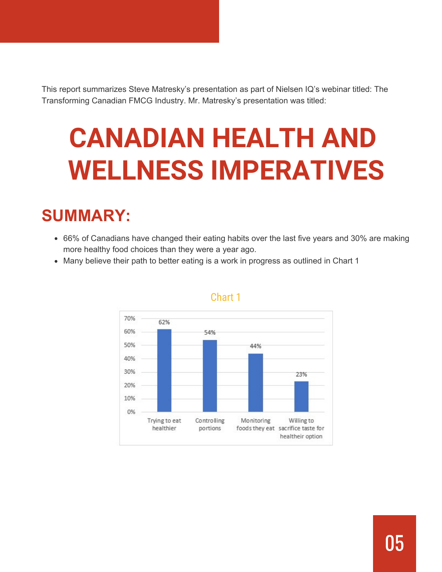This report summarizes Steve Matresky's presentation as part of Nielsen IQ's webinar titled: The Transforming Canadian FMCG Industry. Mr. Matresky's presentation was titled:

# **CANADIAN HEALTH AND WELLNESS IMPERATIVES**

## **SUMMARY:**

- 66% of Canadians have changed their eating habits over the last five years and 30% are making more healthy food choices than they were a year ago.
- Many believe their path to better eating is a work in progress as outlined in Chart 1



#### Chart 1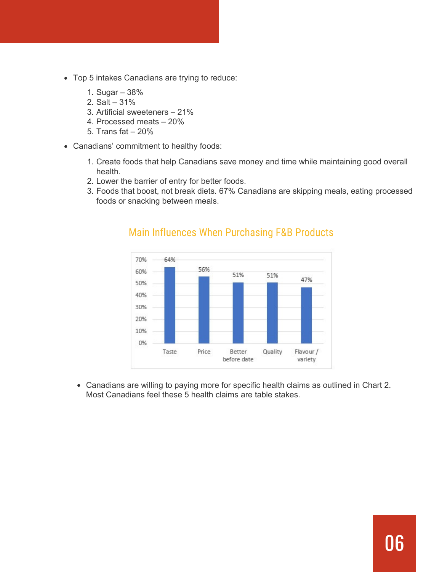- Top 5 intakes Canadians are trying to reduce:
	- 1. Sugar 38%
	- 2. Salt 31%
	- 3. Artificial sweeteners 21%
	- 4. Processed meats 20%
	- 5. Trans fat 20%
- Canadians' commitment to healthy foods:
	- 1. Create foods that help Canadians save money and time while maintaining good overall health.
	- 2. Lower the barrier of entry for better foods.
	- 3. Foods that boost, not break diets. 67% Canadians are skipping meals, eating processed foods or snacking between meals.



#### Main Influences When Purchasing F&B Products

Canadians are willing to paying more for specific health claims as outlined in Chart 2. Most Canadians feel these 5 health claims are table stakes.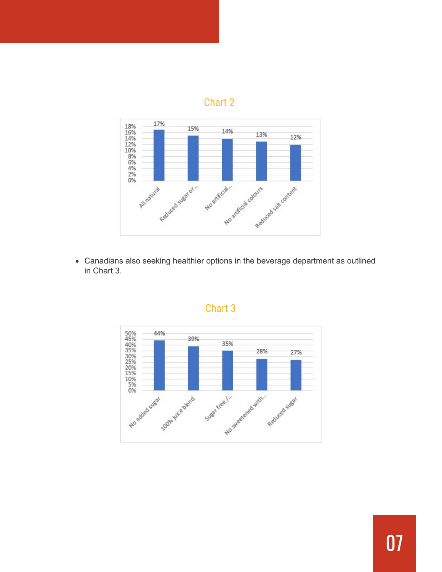## Chart 2



Canadians also seeking healthier options in the beverage department as outlined in Chart 3.



### Chart 3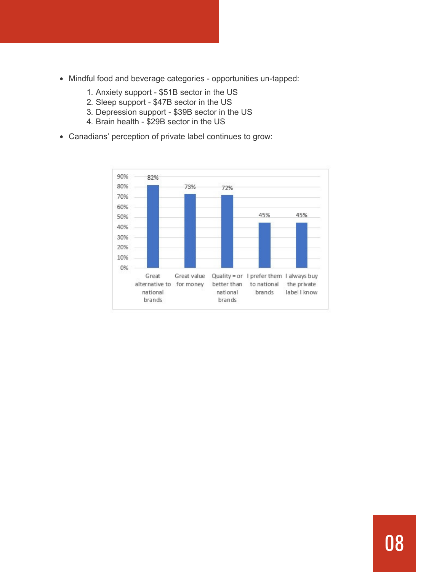- Mindful food and beverage categories opportunities un-tapped:
	- 1. Anxiety support \$51B sector in the US
	- 2. Sleep support \$47B sector in the US
	- 3. Depression support \$39B sector in the US
	- 4. Brain health \$29B sector in the US
- Canadians' perception of private label continues to grow:

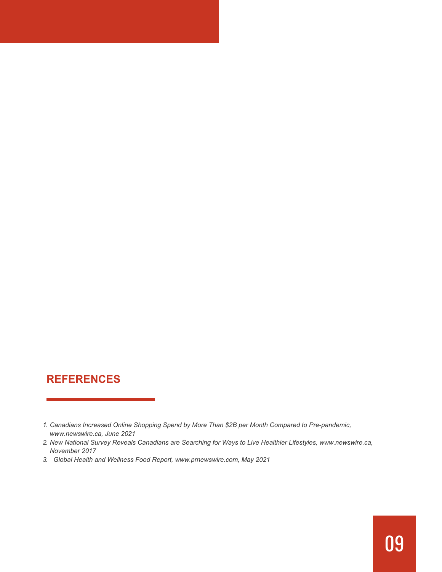## **REFERENCES**

- *1. Canadians Increased Online Shopping Spend by More Than \$2B per Month Compared to Pre-pandemic, www.newswire.ca, June 2021*
- *2. New National Survey Reveals Canadians are Searching for Ways to Live Healthier Lifestyles, www.newswire.ca, November 2017*
- *3. Global Health and Wellness Food Report, www.prnewswire.com, May 2021*